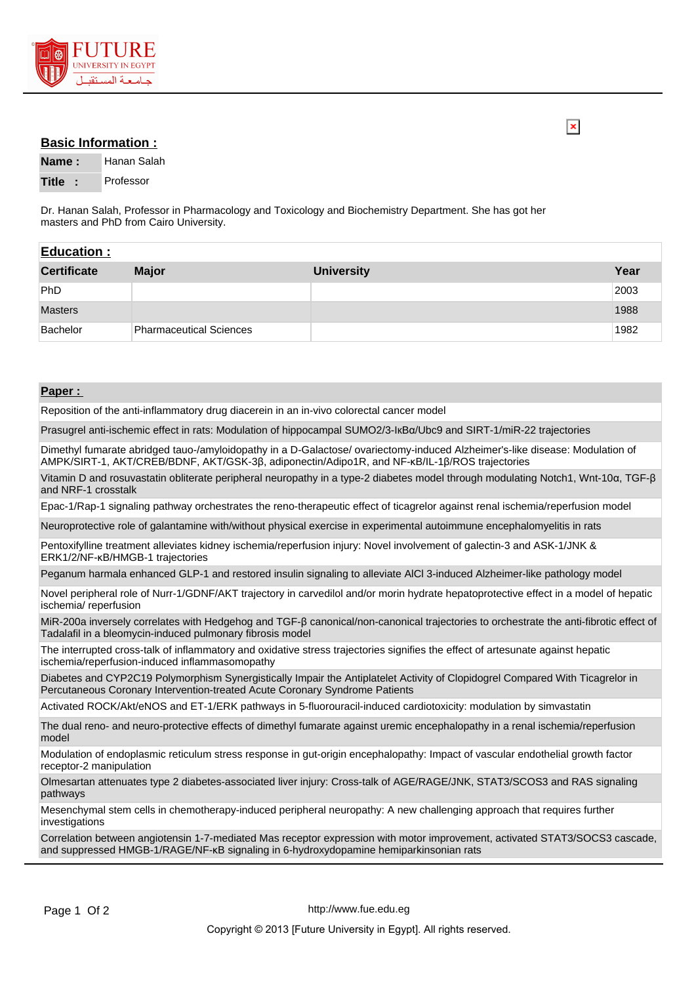

## **Basic Information :**

**Name :** Hanan Salah **Title :** Professor

Dr. Hanan Salah, Professor in Pharmacology and Toxicology and Biochemistry Department. She has got her masters and PhD from Cairo University.

| <b>Education:</b>  |                                |                   |       |
|--------------------|--------------------------------|-------------------|-------|
| <b>Certificate</b> | <b>Major</b>                   | <b>University</b> | Year  |
| PhD                |                                |                   | 2003  |
| <b>Masters</b>     |                                |                   | 1988  |
| Bachelor           | <b>Pharmaceutical Sciences</b> |                   | 1982⊧ |

## **Paper :**

Reposition of the anti-inflammatory drug diacerein in an in-vivo colorectal cancer model

Prasugrel anti-ischemic effect in rats: Modulation of hippocampal SUMO2/3-IкBα/Ubc9 and SIRT-1/miR-22 trajectories

Dimethyl fumarate abridged tauo-/amyloidopathy in a D-Galactose/ ovariectomy-induced Alzheimer's-like disease: Modulation of AMPK/SIRT-1, AKT/CREB/BDNF, AKT/GSK-3β, adiponectin/Adipo1R, and NF-κB/IL-1β/ROS trajectories

Vitamin D and rosuvastatin obliterate peripheral neuropathy in a type-2 diabetes model through modulating Notch1, Wnt-10α, TGF-β and NRF-1 crosstalk

Epac-1/Rap-1 signaling pathway orchestrates the reno-therapeutic effect of ticagrelor against renal ischemia/reperfusion model

Neuroprotective role of galantamine with/without physical exercise in experimental autoimmune encephalomyelitis in rats

Pentoxifylline treatment alleviates kidney ischemia/reperfusion injury: Novel involvement of galectin-3 and ASK-1/JNK & ERK1/2/NF-κB/HMGB-1 trajectories

Peganum harmala enhanced GLP-1 and restored insulin signaling to alleviate AlCl 3-induced Alzheimer-like pathology model

Novel peripheral role of Nurr-1/GDNF/AKT trajectory in carvedilol and/or morin hydrate hepatoprotective effect in a model of hepatic ischemia/ reperfusion

MiR-200a inversely correlates with Hedgehog and TGF-β canonical/non-canonical trajectories to orchestrate the anti-fibrotic effect of Tadalafil in a bleomycin-induced pulmonary fibrosis model

The interrupted cross-talk of inflammatory and oxidative stress trajectories signifies the effect of artesunate against hepatic ischemia/reperfusion-induced inflammasomopathy

Diabetes and CYP2C19 Polymorphism Synergistically Impair the Antiplatelet Activity of Clopidogrel Compared With Ticagrelor in Percutaneous Coronary Intervention-treated Acute Coronary Syndrome Patients

Activated ROCK/Akt/eNOS and ET-1/ERK pathways in 5-fluorouracil-induced cardiotoxicity: modulation by simvastatin

The dual reno- and neuro-protective effects of dimethyl fumarate against uremic encephalopathy in a renal ischemia/reperfusion model

Modulation of endoplasmic reticulum stress response in gut-origin encephalopathy: Impact of vascular endothelial growth factor receptor-2 manipulation

Olmesartan attenuates type 2 diabetes-associated liver injury: Cross-talk of AGE/RAGE/JNK, STAT3/SCOS3 and RAS signaling pathways

Mesenchymal stem cells in chemotherapy-induced peripheral neuropathy: A new challenging approach that requires further investigations

Correlation between angiotensin 1-7-mediated Mas receptor expression with motor improvement, activated STAT3/SOCS3 cascade, and suppressed HMGB-1/RAGE/NF-κB signaling in 6-hydroxydopamine hemiparkinsonian rats

 $\overline{\mathbf{x}}$